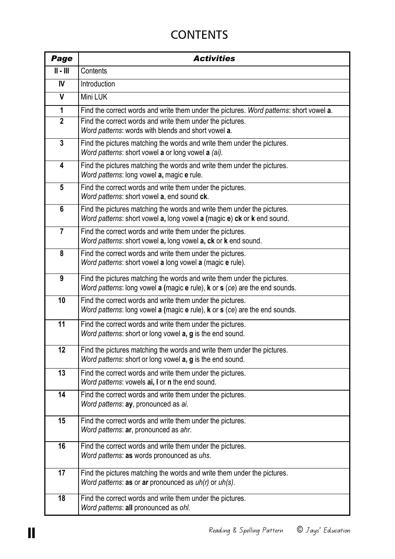## **CONTENTS**

| Page                                    | <b>Activities</b>                                                                                                                                      |
|-----------------------------------------|--------------------------------------------------------------------------------------------------------------------------------------------------------|
| $\overline{\mathbb{I}}$ - $\mathbb{II}$ | Contents                                                                                                                                               |
| <b>IV</b>                               | Introduction                                                                                                                                           |
| V                                       | Mini LUK                                                                                                                                               |
| $\mathbf 1$                             | Find the correct words and write them under the pictures. Word patterns: short vowel a.                                                                |
| $\mathbf{2}$                            | Find the correct words and write them under the pictures.<br>Word patterns: words with blends and short vowel a.                                       |
| $\mathbf{3}$                            | Find the pictures matching the words and write them under the pictures.<br>Word patterns: short vowel a or long vowel a (ai).                          |
| 4                                       | Find the pictures matching the words and write them under the pictures.<br>Word patterns: long vowel a, magic e rule.                                  |
| $5\phantom{.0}$                         | Find the correct words and write them under the pictures.<br>Word patterns: short vowel a, end sound ck.                                               |
| $6\phantom{1}$                          | Find the pictures matching the words and write them under the pictures.<br>Word patterns: short vowel a, long vowel a (magic e) ck or k end sound.     |
| $\overline{7}$                          | Find the correct words and write them under the pictures.<br>Word patterns: short vowel a, long vowel a, ck or k end sound.                            |
| 8                                       | Find the correct words and write them under the pictures.<br>Word patterns: short vowel a long vowel a (magic e rule).                                 |
| 9                                       | Find the pictures matching the words and write them under the pictures.<br>Word patterns: long vowel a (magic e rule), k or s (ce) are the end sounds. |
| 10                                      | Find the correct words and write them under the pictures.<br>Word patterns: long vowel a (magic $e$ rule), $k$ or $s$ (ce) are the end sounds.         |
| 11                                      | Find the correct words and write them under the pictures.<br>Word patterns: short or long vowel a, g is the end sound.                                 |
| 12                                      | Find the pictures matching the words and write them under the pictures.<br>Word patterns: short or long vowel a, g is the end sound.                   |
| 13                                      | Find the correct words and write them under the pictures.<br>Word patterns: vowels ai, I or n the end sound.                                           |
| 14                                      | Find the correct words and write them under the pictures.<br>Word patterns: ay, pronounced as ai.                                                      |
| 15                                      | Find the correct words and write them under the pictures.<br>Word patterns: ar, pronounced as ahr.                                                     |
| 16                                      | Find the correct words and write them under the pictures.<br>Word patterns: as words pronounced as uhs.                                                |
| 17                                      | Find the pictures matching the words and write them under the pictures.<br>Word patterns: as or ar pronounced as $uh(r)$ or $uh(s)$ .                  |
| 18                                      | Find the correct words and write them under the pictures.<br>Word patterns: all pronounced as ohl.                                                     |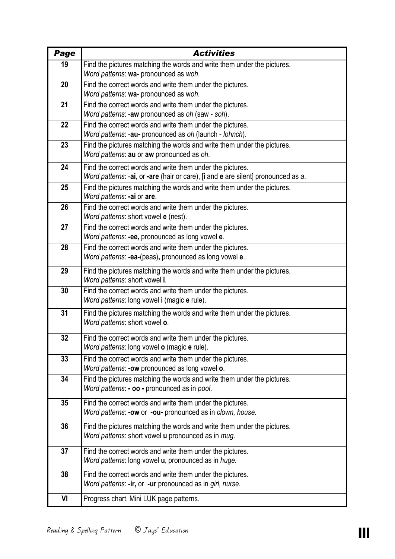| Page | <b>Activities</b>                                                                                                                              |
|------|------------------------------------------------------------------------------------------------------------------------------------------------|
| 19   | Find the pictures matching the words and write them under the pictures.                                                                        |
|      | Word patterns: wa- pronounced as woh.                                                                                                          |
| 20   | Find the correct words and write them under the pictures.                                                                                      |
|      | Word patterns: wa- pronounced as woh.                                                                                                          |
| 21   | Find the correct words and write them under the pictures.                                                                                      |
|      | Word patterns: -aw pronounced as oh (saw - soh).                                                                                               |
| 22   | Find the correct words and write them under the pictures.<br>Word patterns: -au- pronounced as oh (launch - lohnch).                           |
| 23   | Find the pictures matching the words and write them under the pictures.                                                                        |
|      | Word patterns: au or aw pronounced as oh.                                                                                                      |
|      |                                                                                                                                                |
| 24   | Find the correct words and write them under the pictures.<br>Word patterns: -ai, or -are (hair or care), [i and e are silent] pronounced as a. |
| 25   | Find the pictures matching the words and write them under the pictures.                                                                        |
|      | Word patterns: -ai or are.                                                                                                                     |
| 26   | Find the correct words and write them under the pictures.                                                                                      |
|      | Word patterns: short vowel e (nest).                                                                                                           |
| 27   | Find the correct words and write them under the pictures.                                                                                      |
|      | Word patterns: -ee, pronounced as long vowel e.                                                                                                |
| 28   | Find the correct words and write them under the pictures.                                                                                      |
|      | Word patterns: -ea-(peas), pronounced as long vowel e.                                                                                         |
| 29   | Find the pictures matching the words and write them under the pictures.                                                                        |
|      | Word patterns: short vowel i.                                                                                                                  |
| 30   | Find the correct words and write them under the pictures.                                                                                      |
|      | Word patterns: long vowel i (magic e rule).                                                                                                    |
| 31   | Find the pictures matching the words and write them under the pictures.                                                                        |
|      | Word patterns: short vowel o.                                                                                                                  |
| 32   | Find the correct words and write them under the pictures.                                                                                      |
|      | Word patterns: long vowel o (magic e rule).                                                                                                    |
| 33   | Find the correct words and write them under the pictures.                                                                                      |
|      | Word patterns: - ow pronounced as long vowel o.                                                                                                |
| 34   | Find the pictures matching the words and write them under the pictures.                                                                        |
|      | Word patterns: - oo - pronounced as in pool.                                                                                                   |
| 35   | Find the correct words and write them under the pictures.                                                                                      |
|      | Word patterns: -ow or -ou- pronounced as in clown, house.                                                                                      |
| 36   | Find the pictures matching the words and write them under the pictures.                                                                        |
|      | Word patterns: short vowel u pronounced as in mug.                                                                                             |
|      |                                                                                                                                                |
| 37   | Find the correct words and write them under the pictures.<br>Word patterns: long vowel u, pronounced as in huge.                               |
|      |                                                                                                                                                |
| 38   | Find the correct words and write them under the pictures.                                                                                      |
|      | Word patterns: -ir, or -ur pronounced as in girl, nurse.                                                                                       |
| VI   | Progress chart. Mini LUK page patterns.                                                                                                        |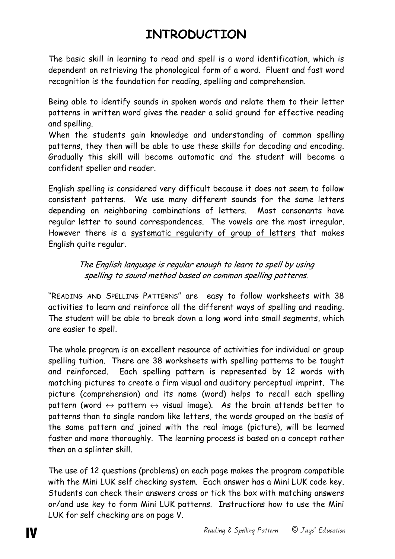# **INTRODUCTION**

The basic skill in learning to read and spell is a word identification, which is dependent on retrieving the phonological form of a word. Fluent and fast word recognition is the foundation for reading, spelling and comprehension.

Being able to identify sounds in spoken words and relate them to their letter patterns in written word gives the reader a solid ground for effective reading and spelling.

When the students gain knowledge and understanding of common spelling patterns, they then will be able to use these skills for decoding and encoding. Gradually this skill will become automatic and the student will become a confident speller and reader.

English spelling is considered very difficult because it does not seem to follow consistent patterns. We use many different sounds for the same letters depending on neighboring combinations of letters. Most consonants have regular letter to sound correspondences. The vowels are the most irregular. However there is a systematic regularity of group of letters that makes English quite regular.

> The English language is regular enough to learn to spell by using spelling to sound method based on common spelling patterns.

"READING AND SPELLING PATTERNS" are easy to follow worksheets with 38 activities to learn and reinforce all the different ways of spelling and reading. The student will be able to break down a long word into small segments, which are easier to spell.

The whole program is an excellent resource of activities for individual or group spelling tuition. There are 38 worksheets with spelling patterns to be taught and reinforced. Each spelling pattern is represented by 12 words with matching pictures to create a firm visual and auditory perceptual imprint. The picture (comprehension) and its name (word) helps to recall each spelling pattern (word  $\leftrightarrow$  pattern  $\leftrightarrow$  visual image). As the brain attends better to patterns than to single random like letters, the words grouped on the basis of the same pattern and joined with the real image (picture), will be learned faster and more thoroughly. The learning process is based on a concept rather then on a splinter skill.

The use of 12 questions (problems) on each page makes the program compatible with the Mini LUK self checking system. Each answer has a Mini LUK code key. Students can check their answers cross or tick the box with matching answers or/and use key to form Mini LUK patterns. Instructions how to use the Mini LUK for self checking are on page V.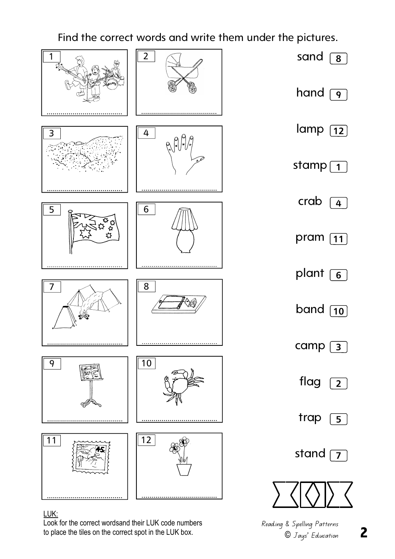

#### LUK:

Look for the correct wordsand their LUK code numbers to place the tiles on the correct spot in the LUK box.

**2**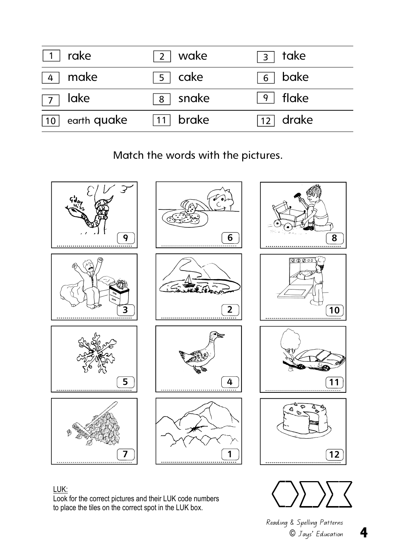| rake                    | 2   wake            | take<br>$\overline{\mathbf{3}}$ |
|-------------------------|---------------------|---------------------------------|
| make                    | $\overline{5}$ cake | bake<br>6                       |
| lake<br>$\vert 7 \vert$ | snake<br>8          | $9$   flake                     |
| earth quake<br>  10     | 11 brake            | $\boxed{12}$ drake              |

Match the words with the pictures.





#### Reading & Spelling Patterns © Jays' Education

**4** 

LUK:

Look for the correct pictures and their LUK code numbers to place the tiles on the correct spot in the LUK box.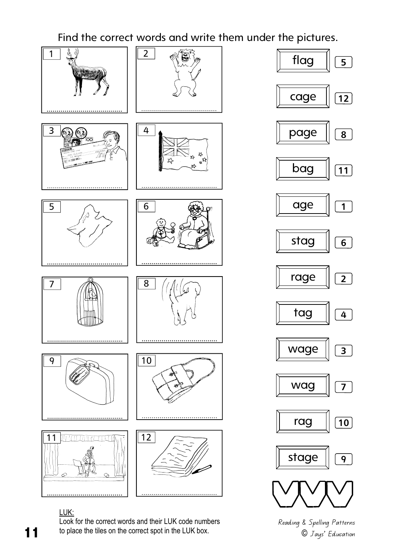

LUK:

Look for the correct words and their LUK code numbers to place the tiles on the correct spot in the LUK box.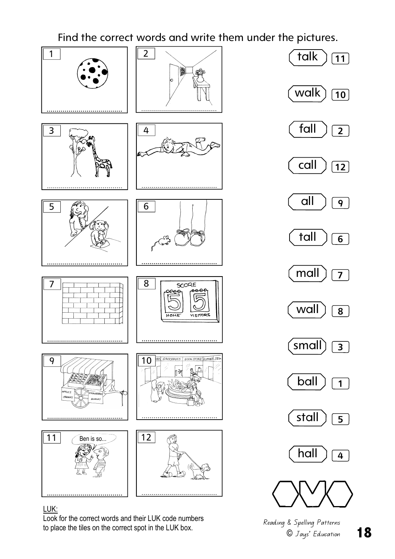

#### LUK:

Look for the correct words and their LUK code numbers to place the tiles on the correct spot in the LUK box.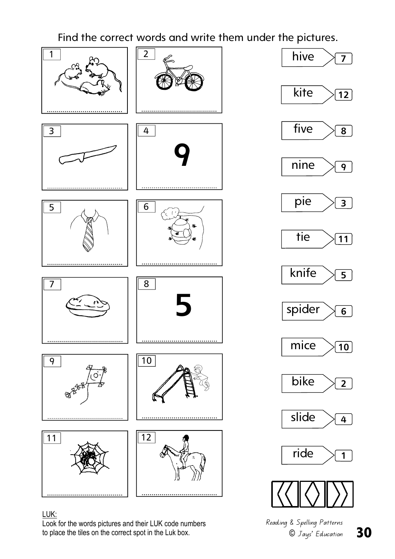

### LUK:

Look for the words pictures and their LUK code numbers to place the tiles on the correct spot in the Luk box.